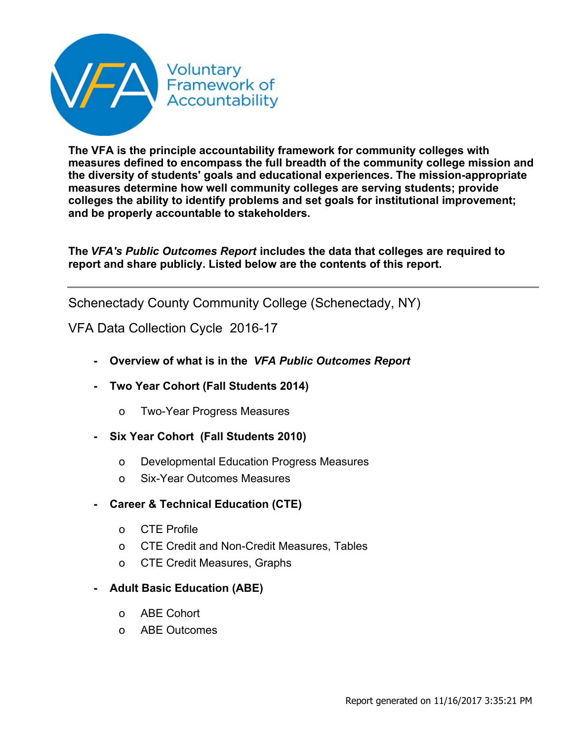$($  (  $)$  ') ' ) \* (  $)$  + , % - $\left($  $\begin{array}{ccc} \cdot & \left. \right. & 0 & \left. \right. & \left. \right. & \left. \right. & \left. \right. & \left. \right. & \left. \right. & \left. \right. & \left. \right. & \left. \right. & \left. \right. & \left. \right. & \left. \right. & \left. \right. & \left. \right. & \left. \right. & \left. \right. & \left. \right. & \left. \right. & \left. \right. & \left. \right. & \left. \right. & \left. \right. & \left. \right. & \left. \right. & \left. \right. & \left. \right. & \left. \right. & \left. \right. & \left. \$  $\boldsymbol{\mathsf{S}}$  $#$  $\frac{1}{2}$  %  $\#$  \$ % &  $\bar{\mathbf{r}}$  $\frac{1}{2}$  % & ' ()\*),  $0 \t1 \t2 \t!$  $\mathcal{O}(\mathcal{O}(\log n))$  . The  $\mathcal{O}(\log n)$  $\boldsymbol{\alpha}$  $3 $% 4'$  (  $\sim$   $\sim$  $\%$  $8\%$ ., **Contractor**  $985$  $\Gamma_{\rm{eff}}$  $\begin{array}{ccc} , & \$ & \\ + & 7 & 2 \end{array}$  $\mathbb{R}^n$  and  $\mathbb{R}^n$  $\frac{1}{2}$  $6\phantom{1}$  $\mathbf{1}$  .  $\frac{1}{2}$  . 8. 1.,  $/8!$  $/8!4'$  (

 $\mathbf{u}$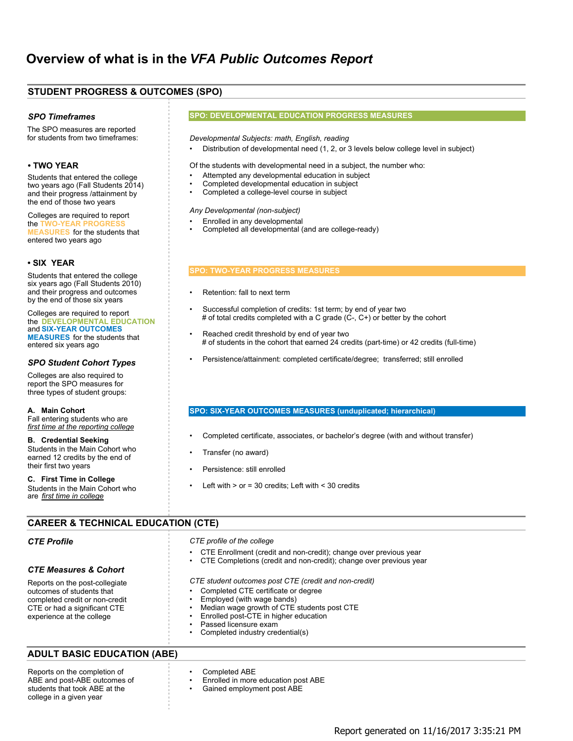| $'$ 52.4 07#87.'' - #5 %#3.' & '0#,                                                                                                                                                                                                                                                                                                                                                                                                                                                                                                                                                                      |                                                                                                                                                                                                                                                                                                                                                                                                                                                                                                                                                 |
|----------------------------------------------------------------------------------------------------------------------------------------------------------------------------------------------------------------------------------------------------------------------------------------------------------------------------------------------------------------------------------------------------------------------------------------------------------------------------------------------------------------------------------------------------------------------------------------------------------|-------------------------------------------------------------------------------------------------------------------------------------------------------------------------------------------------------------------------------------------------------------------------------------------------------------------------------------------------------------------------------------------------------------------------------------------------------------------------------------------------------------------------------------------------|
|                                                                                                                                                                                                                                                                                                                                                                                                                                                                                                                                                                                                          | $0#1 \quad 2.$ $\cdot$ "#03.4 " .25%<br>6#4 07#87. '' 3.<br>'57.                                                                                                                                                                                                                                                                                                                                                                                                                                                                                |
| <b>A</b> Contract<br>& 4<br>$\overline{2}$<br>5<br><b>Contract</b><br>5<br>#<br>< 9# \$.7<br>$\star$<br><b>Contractor</b><br>$#$ )<br>$\overline{2}$<br>E                                                                                                                                                                                                                                                                                                                                                                                                                                                | 6' .<br>$5 \qquad 1 \qquad 2$<br>9<br>$\Omega$<br>$\sim$ 1<br>$* + +$<br>6<br># (<br>45<br>and the con-<br>#<br>$1 \quad$<br>$\overline{2}$<br>$'6B$ ( +<br>$'$ 6<br>$\#$ ;<br>$\overline{\phantom{a}}$<br>$'6B$ (<br>9<br>$\overline{2}$<br>$\sqrt{2}$<br>$\overline{2}$<br>1<br>$\lambda$<br>$\left(\begin{array}{c} 1 \\ 1 \end{array}\right)$<br>9<br>$'6B$ (<br>2<br>1<br>$\overline{a}$<br>$\overline{2}$<br>\$<br>$\overline{\phantom{0}}$ 1<br>$\overline{ }$<br>9<br>'6 B (                                                            |
| 5 <sup>5</sup><br>$#$ )<br>$A^{\dagger}$<br>$\overline{2}$<br>9# \$. 7 07#87.<br>3. '57.' 5<br>$#$ )                                                                                                                                                                                                                                                                                                                                                                                                                                                                                                     | 9<br>Ţ.<br>$\begin{matrix} \end{matrix} \begin{matrix} 1 & 2 \end{matrix}$<br>$\star$<br>9<br>2<br>$\overline{1}$<br>2<br>$\left($<br>$\frac{1}{2}$ ) –                                                                                                                                                                                                                                                                                                                                                                                         |
| $<$ '6: \$.7<br>$\sim 10^{-1}$                                                                                                                                                                                                                                                                                                                                                                                                                                                                                                                                                                           | '0#1 9# \$.707#87.''3.'57.'                                                                                                                                                                                                                                                                                                                                                                                                                                                                                                                     |
| $\sim$ (<br>$\star$<br>3)<br>$\mathcal{C}^{\mathcal{C}}$ (<br>$\begin{array}{ccc} & 2 & \\ 6 & 2 & \\ 5 & & \end{array}$<br>3)<br>A'<br>$\overline{2}$<br>2. . " # 0 3 . 4 " . 2 5 % 6 # 4<br>$'6:$ \$. 7 #5 %#3.<br>3. '57.' 5<br>3)                                                                                                                                                                                                                                                                                                                                                                    | <b>Harry Corporation</b><br>$\frac{1}{2}$ 5<br>$\mathbf{3}$<br>9<br>$\cdot$ ( (<br>9<br>5'<br>$\begin{pmatrix} 2 \end{pmatrix}$<br>5 (<br>$\begin{pmatrix} 2 & 6 \end{pmatrix}$ 5)<br>$\begin{array}{ccc} \cdot & & \cdot \\ & & \# & \\ \end{array}$<br>$*$ $\sqrt{s}$ + D -<br>$\begin{pmatrix} 2 \end{pmatrix}$<br>- 5<br>6<br>6)<br>C<br>$\sqrt{ }$<br>9<br>5)<br>6)<br>#<br>$\frac{1}{2}$<br>$\mathsf{C}$<br>$\left($<br>5<br>$*2$<br>\$<br>(E)<br>5<br>$\tilde{?}$<br>9<br>&<br>$;\;$ ( 2<br>E<br>$\overline{?}$<br>$\overline{a}$<br>5 ( |
| A'<br>& 4<br>$\overline{2}$<br>$\frac{1}{2}$<br>$5\phantom{.0}$<br>$\mathbf{L}_{\mathrm{eff}}$<br>)2<br>$\mathbf{3}$<br>$\%$<br><b>COLLEGE</b><br>#                                                                                                                                                                                                                                                                                                                                                                                                                                                      | $6:$ \$<br>$%#3.$ 3. 57. &<br>#5<br>$\mathbf{y}$ .                                                                                                                                                                                                                                                                                                                                                                                                                                                                                              |
| <b>Contract</b><br>$\sqrt{2}$<br>%<br>6)<br>$\overline{ }$<br>5<br>$#$ )                                                                                                                                                                                                                                                                                                                                                                                                                                                                                                                                 | $5( + ( + 6 ( :$<br>#<br>9<br>$2^{\circ}$<br>$\sqrt{2}$<br>* #<br>9<br>5<br>#<br>9<br>$(\cdot,$<br>&                                                                                                                                                                                                                                                                                                                                                                                                                                            |
| $\%$<br>%                                                                                                                                                                                                                                                                                                                                                                                                                                                                                                                                                                                                | 9<br>$< 5$ #<br>$? < 5$ #<br>@<br>$=$<br>$\sqrt{2}$<br>$\overline{a}$<br>$\geq$                                                                                                                                                                                                                                                                                                                                                                                                                                                                 |
| $\frac{1}{6}$ 77 - .%;46% ".25% 6#4 &%.,                                                                                                                                                                                                                                                                                                                                                                                                                                                                                                                                                                 |                                                                                                                                                                                                                                                                                                                                                                                                                                                                                                                                                 |
|                                                                                                                                                                                                                                                                                                                                                                                                                                                                                                                                                                                                          |                                                                                                                                                                                                                                                                                                                                                                                                                                                                                                                                                 |
|                                                                                                                                                                                                                                                                                                                                                                                                                                                                                                                                                                                                          | $\begin{array}{cccccccccccc} \text{" 2} & & 2 & \text{\$} ( & & & \text{!} & & & \text{!} \\ \text{?} & ( & & 5 & & & & \text{?} & & \text{?} & \text{?} & \text{?} & \text{?} & \text{?} & \text{?} & \text{?} & \text{?} & \text{?} & \text{?} & \text{?} & \text{?} & \text{?} & \text{?} & \text{?} & \text{?} & \text{?} & \text{?} & \text{?} & \text{?} & \text{?} & \text{?} & \text{?} & \text{?} & \text{?} & \text{?}$                                                                                                               |
| $25"$<br>$/$ '6% .25% 6#4 & $/$ .,                                                                                                                                                                                                                                                                                                                                                                                                                                                                                                                                                                       |                                                                                                                                                                                                                                                                                                                                                                                                                                                                                                                                                 |
| $\begin{array}{c} 2 \\ 781 \\ -1 \end{array}$<br>$2 \frac{1}{3/8!}$ (<br>$\begin{array}{c} \begin{array}{c} \end{array} \begin{array}{c} \begin{array}{c} \end{array} \begin{array}{c} \end{array} \begin{array}{c} \end{array} \begin{array}{c} \end{array} \begin{array}{c} \end{array} \begin{array}{c} \end{array} \begin{array}{c} \end{array} \begin{array}{c} \end{array} \begin{array}{c} \end{array} \begin{array}{c} \end{array} \begin{array}{c} \end{array} \begin{array}{c} \end{array} \begin{array}{c} \end{array} \begin{array}{c} \end{array} \begin{array}{c} \end{array}$<br>$\left($ | $\begin{array}{cccc} 9 & 2 & /8! \\ 9 & ! & \end{array}$<br>$\begin{array}{cccc} 2 & /8 & 2 \\ 7 & 2 & 2 \end{array}$<br>/8!                                                                                                                                                                                                                                                                                                                                                                                                                    |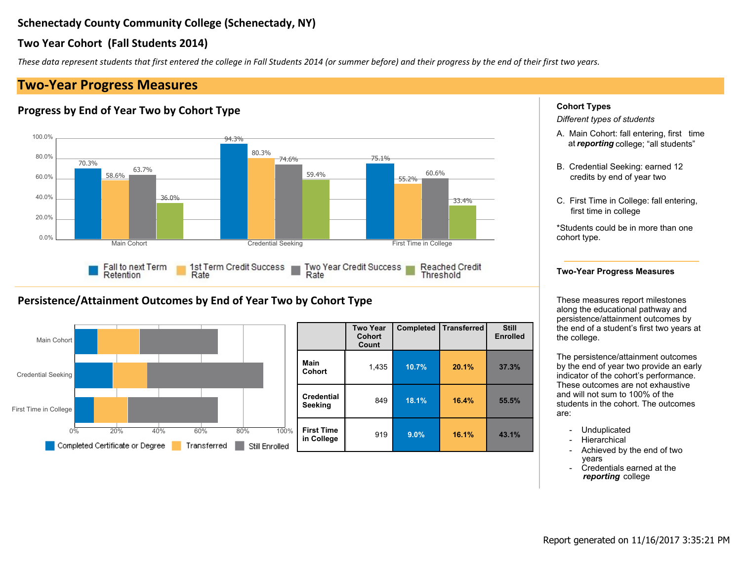|              |                        | $\mathbf{u}_\parallel$ |                    |                |                                               |                          |                                                                                                                                                                                                                                           |
|--------------|------------------------|------------------------|--------------------|----------------|-----------------------------------------------|--------------------------|-------------------------------------------------------------------------------------------------------------------------------------------------------------------------------------------------------------------------------------------|
| Ţ            | #<br>$\boldsymbol{\$}$ | $\%$                   | $\#$               | $\&$           |                                               |                          | $\%$                                                                                                                                                                                                                                      |
|              |                        |                        |                    |                |                                               |                          | $\sqrt{2}$<br>$\begin{pmatrix} 5 \\ 1 \end{pmatrix}$<br>$\frac{+}{\epsilon}$<br>? $G$                                                                                                                                                     |
|              |                        |                        |                    |                |                                               |                          | $\bf 8$<br>$\,$<br>$5\sqrt{ }$<br>6)<br>$\left($<br>$\#$                                                                                                                                                                                  |
|              |                        |                        |                    |                |                                               |                          | $\frac{1}{2}$ 5<br>$\overline{5}$                                                                                                                                                                                                         |
|              |                        |                        |                    |                |                                               |                          | $\begin{array}{ccc} \mathsf{F} & ^{\mathsf{!`}} & \mathsf{;} \end{array} \qquad \begin{array}{c} \mathsf{?`} \\ \mathsf{?} \end{array}$<br>$\,6\,$                                                                                        |
|              |                        |                        |                    |                |                                               |                          | $\mathbb S$<br>$\mathbf{3}$<br>$\pmb{0}$                                                                                                                                                                                                  |
| $\mathbf{I}$ | $\cdot$ (              | $\mathcal{L}$          | #<br>$\frac{1}{2}$ | $\%$           | $\#$                                          |                          | $\sim 0.1$<br>$\overline{2}$<br>$\overline{\mathbf{c}}$<br>$\begin{array}{c} 1 \ 1 \ 1 \end{array}$                                                                                                                                       |
|              |                        |                        |                    |                | $\sqrt[6]{\frac{1}{2}}$<br>$\%$<br>$\%$ $\%$  | $\blacksquare$<br>$\sim$ | $\begin{array}{c} \circ \\ (\circ E) \\ 5 \end{array}$<br>$\overline{2}$<br>$\mathbf{u}$ .<br>$\therefore$ 5<br>$\pm$                                                                                                                     |
|              |                        |                        |                    | $\frac{3}{\%}$ | $\qquad \quad ^{*}$ ) $\quad \  =$ $>$<br>$+$ | $() * >$<br>$? = ? >$    | $\begin{array}{c} (E \\ 5 \end{array}$<br>$\begin{array}{c} 2 \\ 6 \end{array}$<br>$\mathbf{L}$<br>$\#$<br>$\begin{array}{c} 2 \\ \vdots \\ 3 \end{array}$<br>$\overline{1}$<br>$\frac{2}{1}$<br>$\sqrt{5}$<br>5 <sub>5</sub><br>$\left($ |
|              |                        |                        |                    | $\%$           | $^{\star}$ @ $^{\star}$ $>$                   | $* A + >$<br>$BB$ $B$    | $\overline{\phantom{a}}$ (<br>$\sim 10^{-1}$<br>$\#$<br>$\mathbf{H}^{\text{max}}$<br>$\ddot{\phantom{a}}$                                                                                                                                 |
|              |                        |                        |                    | $\%$           | $C$ ) >                                       | * A * $>$<br>$+ ? * >$   | $\begin{array}{c} \mathfrak{s} \\ \mathfrak{s} \\ \mathfrak{s} \end{array}$<br>$\begin{array}{ccc} 1 & 2 & ( \\ J & ( & ( \\ / & 1 & 6) \end{array}$                                                                                      |
|              |                        |                        |                    |                |                                               |                          | $\frac{1}{\lambda}$<br>$\mathbb{S}$<br>$\mathbf{R}$                                                                                                                                                                                       |
|              |                        |                        |                    |                |                                               |                          |                                                                                                                                                                                                                                           |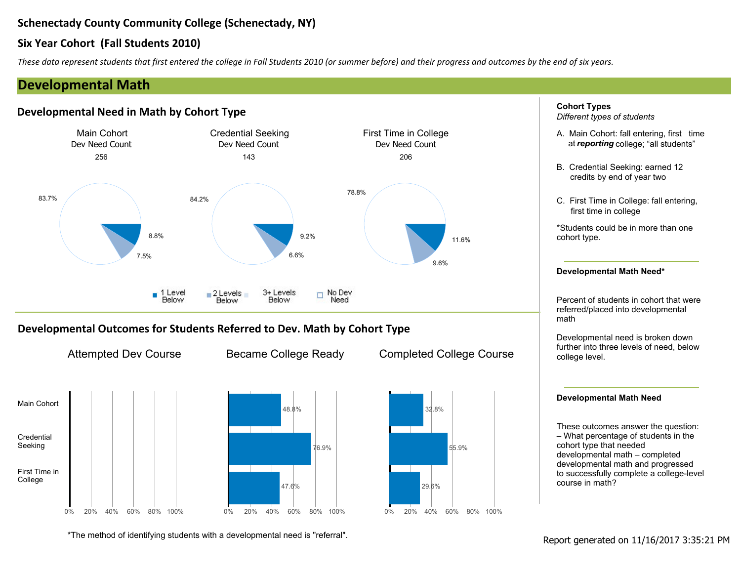$\star$ 

| $+$ , & |                | $\langle W \rangle$                          |                |       |                                        |                                                                                                                                                                                                                                                                                          |
|---------|----------------|----------------------------------------------|----------------|-------|----------------------------------------|------------------------------------------------------------------------------------------------------------------------------------------------------------------------------------------------------------------------------------------------------------------------------------------|
| $+$ ,   | 8 <sub>1</sub> |                                              | $\mathbf{0}$ . | $#$ 8 |                                        | $\%$                                                                                                                                                                                                                                                                                     |
|         |                |                                              |                |       | $8'$ ( ) $8'$ ( ) $8'$ ( )             | $\begin{array}{ccccccccc} / & & & & ; & 5 & & & + \\ & & & & ( & & ? & G & & & \end{array}$<br>$\overline{\begin{array}{ccc} 2 & & 3 \end{array}}$<br>$\overline{4}$ D                                                                                                                   |
| $+$ ,   | $\sqrt{2}$     | $2 \qquad 0 \quad 1 \qquad \qquad 8 \quad ($ |                | 8 ) % | $-$ % + , . "<br>" ) 2<br>$\mathbf{L}$ | & ( $\begin{array}{cc} 5 & \cdot \\ 5 & \cdot \\ 2 & \cdot \end{array}$ ( $\begin{array}{cc} 1 & 2 \end{array}$<br>$\begin{array}{cccc} 0 & 1 & 2 & & & 6 \\ 5 & & & & & 1 & 5 \\ 1 & & 1 & & & 1 & 5 \end{array}$<br>$\begin{array}{c cc} \hline & 3 & 4 \end{array}$<br>$\overline{2}$ |

5 5)  $\frac{1}{2}$  1 2 N 5 N  $\frac{1}{2}$   $\frac{1}{2}$   $\frac{1}{2}$   $\frac{1}{2}$   $\frac{1}{2}$   $\frac{1}{2}$   $\frac{1}{2}$   $\frac{1}{2}$   $\frac{1}{2}$   $\frac{1}{2}$   $\frac{1}{2}$   $\frac{1}{2}$   $\frac{1}{2}$   $\frac{1}{2}$   $\frac{1}{2}$   $\frac{1}{2}$   $\frac{1}{2}$   $\frac{1}{2}$   $\frac{1}{2}$   $\frac{1}{$  $\mathsf F$ 

 $\boldsymbol{\mathsf{S}}$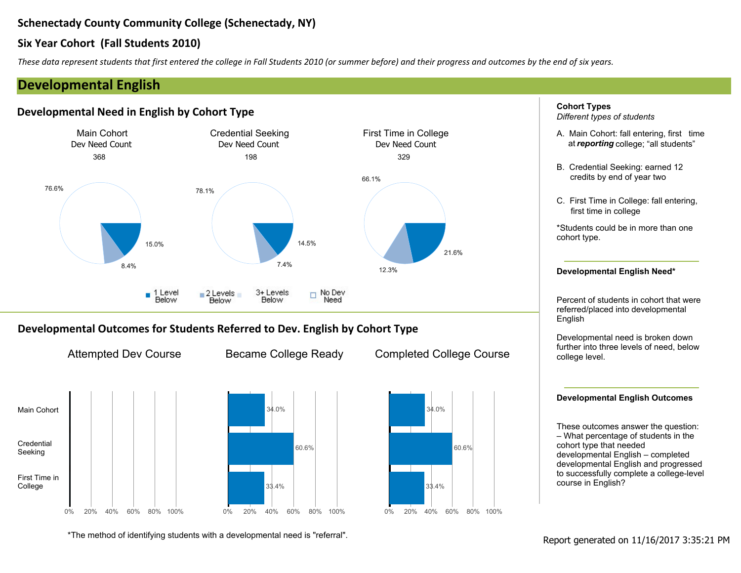$\pm$ 

 $\ddot{+}$ 

| $\overline{1}$ | &                                          | $\updownarrow$ # | $\alpha$ |                                        | $\%$                                                                                                                                                                                                                                                             |
|----------------|--------------------------------------------|------------------|----------|----------------------------------------|------------------------------------------------------------------------------------------------------------------------------------------------------------------------------------------------------------------------------------------------------------------|
|                | & $($<br>$\overline{\phantom{a}}$          |                  |          | $8'$ ( ) $8'$ ( )                      | $\begin{array}{ccccccccc} / & & & & ; & 5 & & & & + \\ & & & ( & & ? & G & & & & \end{array}$                                                                                                                                                                    |
|                |                                            |                  |          |                                        | 6) $\begin{array}{c} ; \\ 5 \end{array}$ #<br>$\frac{1}{2}$ 5<br>$\begin{array}{ccc} 5 & & \\ & \end{array}$<br>$\begin{array}{ccc} F & ' & ( & 6 \\ ( & & 2 & \end{array}$<br>$4$ D<br>$\overline{2}$<br>$\mathcal{L}^{\text{max}}$<br>& ( 5 ' (<br>5 E 2 ( 1 2 |
| $\overline{1}$ | ) $\%$<br>&<br>$2 \t01'$ 8 (<br>$\sqrt{2}$ |                  | $-$ %    | $-$ % $+$ , . \$<br>" ) 2<br>$\bar{V}$ | $\begin{array}{cccc} 0 & 1 & 2 & & & 6 \\ 5 & & & & & 1 & 5 \\ 1 & & 1 & & & 1 & 5 \end{array}$<br>$\#$<br>$\overline{2}$                                                                                                                                        |

|  |  |  |  |  |  | $f$ 5 5) $\frac{1}{2}$ 1 2 N 5 N $\frac{1}{2}$ $\frac{1}{2}$ $\frac{1}{2}$ $\frac{1}{2}$ $\frac{1}{2}$ $\frac{1}{2}$ $\frac{1}{2}$ $\frac{1}{2}$ $\frac{1}{2}$ $\frac{1}{2}$ $\frac{1}{2}$ $\frac{1}{2}$ $\frac{1}{2}$ $\frac{1}{2}$ $\frac{1}{2}$ $\frac{1}{2}$ $\frac{1}{2}$ $\frac{1}{2}$ $\frac{1}{2}$ $\$ |  |  |
|--|--|--|--|--|--|----------------------------------------------------------------------------------------------------------------------------------------------------------------------------------------------------------------------------------------------------------------------------------------------------------------|--|--|
|--|--|--|--|--|--|----------------------------------------------------------------------------------------------------------------------------------------------------------------------------------------------------------------------------------------------------------------------------------------------------------------|--|--|

 $\frac{1}{2}$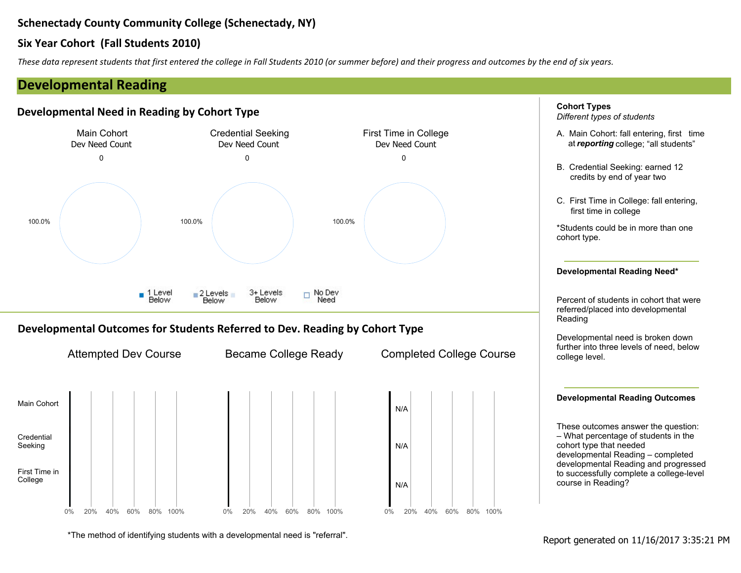|       | $+$ , &     |                                                          |                                                   |
|-------|-------------|----------------------------------------------------------|---------------------------------------------------|
| $+$ , |             |                                                          | $\%$                                              |
|       |             | $8'$ ( ) $8'$ ( ) $8'$ ( )                               |                                                   |
| $+$ , |             | $8$ ) % - % + , . -<br>/ 2 0 1 ' 8 ( " ) 2               |                                                   |
|       |             | , $\mathsf{E}$ /<br>, $\mathsf{E}$ /<br>, $\mathsf{E}$ / |                                                   |
|       | $\mathsf F$ | 5 5) $\frac{1}{2}$ # 1 2 N 5 N                           | $\Gamma^{-n}$<br># $#$<br>$\sqrt[6]{\frac{1}{2}}$ |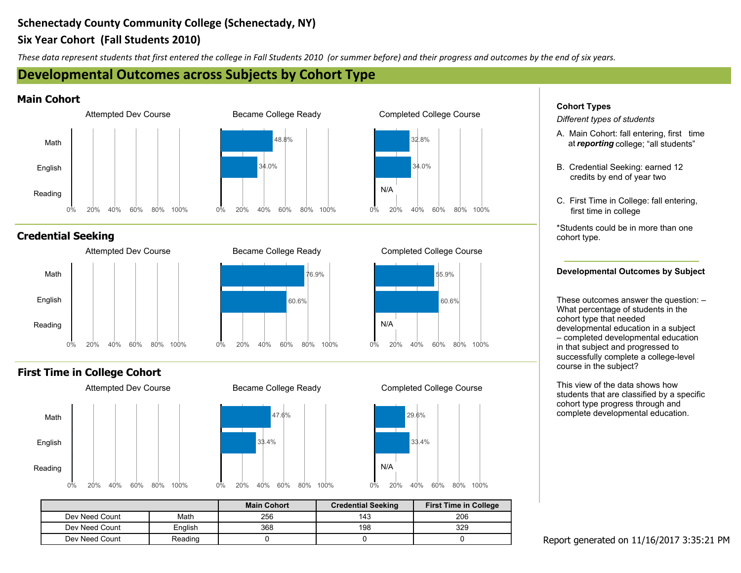| $\star$ |  |  |  |  |
|---------|--|--|--|--|
|         |  |  |  |  |

 $0 \quad 1 \quad ,$ 

 $0 \quad 1 \quad ,$ 

 $\sim$ 

 $\mathcal{A}$  .

 $\pm$ 

 $\vert 0 \vert$ 

| $+$ , , ,                      | 8 <sub>o</sub> |                                                                                                                                                                                                                                                                                          | #/                            |      | #                | $\alpha$                                                                                               |                                                                                                                                                                                                                                                                                                                                                                                                                                                                                                     |
|--------------------------------|----------------|------------------------------------------------------------------------------------------------------------------------------------------------------------------------------------------------------------------------------------------------------------------------------------------|-------------------------------|------|------------------|--------------------------------------------------------------------------------------------------------|-----------------------------------------------------------------------------------------------------------------------------------------------------------------------------------------------------------------------------------------------------------------------------------------------------------------------------------------------------------------------------------------------------------------------------------------------------------------------------------------------------|
|                                |                | $\begin{array}{cccccccccccccc} / & 2 & 0 & 1 & {} & {} & & & 8 & ( & & & \text{ }^{\text{}} & ) & \end{array}$                                                                                                                                                                           |                               |      | $\overline{2}$   | $\mathcal{O}(\mathcal{O}_\mathcal{O})$ . The set of $\mathcal{O}_\mathcal{O}(\mathcal{O}_\mathcal{O})$ | $\%$<br>$\sqrt{2}$<br>$\begin{array}{c} \begin{array}{c} \end{array} & \begin{array}{c} \end{array} & \begin{array}{c} \end{array} & \begin{array}{c} \end{array} & \end{array} \end{array}$<br>$\begin{array}{ccc} \uparrow & & & \uparrow \\ \uparrow & \bigcirc & & \vdots \end{array}$                                                                                                                                                                                                          |
| $\blacksquare$<br>$\mathbf{u}$ |                |                                                                                                                                                                                                                                                                                          |                               |      | , $E/$           |                                                                                                        | $8\phantom{.}$<br>$\begin{array}{ccc} & ; & \\ 5 & ) & \end{array}$<br>6)<br>$\sqrt{2}$<br>$\ddot{5}$<br>$\overline{5}$                                                                                                                                                                                                                                                                                                                                                                             |
|                                |                | $\begin{array}{ccccccccccccccccc} / & 2 & 0 & 1 & \end{array} \qquad \qquad \begin{array}{cccccccccccccc} 8 & ( & & & & & \end{array} \qquad \qquad \begin{array}{c} \text{\color{red}} & \text{\color{red}} & \text{\color{red}} & \text{\color{red}} & \text{\color{red}} \end{array}$ |                               |      | $\overline{2}$   | $\alpha$ and $\alpha$                                                                                  | $\begin{array}{ccc} \mathsf{F} & ^{\mathsf{!`}} & & \mathsf{!}\ \mathsf{!`} & & \mathsf{!}\ \mathsf{!`} & & \mathsf{!}\ \mathsf{!`} & & \mathsf{!}\ \mathsf{!`} & & \mathsf{!}\ \mathsf{!`} & & \mathsf{!}\ \mathsf{!`} & & \mathsf{!}\ \mathsf{!`} & & \mathsf{!}\ \mathsf{!`} & & \mathsf{!}\ \mathsf{!`} & & \mathsf{!}\ \mathsf{!`} & & \mathsf{!}\ \mathsf{!`} & & \mathsf{!}\ \mathsf{!`} & & \mathsf{!}\ \mathsf{!`} & & \$<br>$6\phantom{.0}$<br>#<br>$^{\prime}$ – $\in$<br>$\overline{2}$ |
| $\mathbf{I}$                   |                |                                                                                                                                                                                                                                                                                          |                               |      | , $\mathsf{E}$ / |                                                                                                        | $\begin{array}{cccc} \n\cdot & ( & \# & A' \\ \n2 & ( & 5 & \end{array}$<br>$\mathsf{L}^-$<br>L 2 ( 5<br>( 1 2<br>K ( 2 1 2<br>( 6 8 ( 2 2 )<br>( 5 ) ( 2 2 )<br>( 6 8 ( M<br>$\cdot$ (                                                                                                                                                                                                                                                                                                             |
|                                |                | $\begin{array}{ccccccccccccccccc} / & 2 & 0 & 1 & {} & & & & 8 & ( & & & & \end{array}$                                                                                                                                                                                                  |                               |      | $\overline{2}$   | $\mathcal{L}_{\text{max}}$ and $\mathcal{L}_{\text{max}}$                                              | $\begin{array}{ccccccccc}\n & & 1 & \# & 5 & & \# \\  & & & 2 & 2 & & \ 2 & & 1 & 2 & & \ \end{array}$                                                                                                                                                                                                                                                                                                                                                                                              |
| $\mathbf{I}$<br>$\mathbf{u}$   |                |                                                                                                                                                                                                                                                                                          |                               |      | , $\mathsf{E}$ / |                                                                                                        |                                                                                                                                                                                                                                                                                                                                                                                                                                                                                                     |
|                                | 01,            | $\sim 0.5$                                                                                                                                                                                                                                                                               | $\frac{9}{6}$<br>$\mathbf{3}$ | $\%$ | $\mathcal{A}$ .  | $\%$                                                                                                   |                                                                                                                                                                                                                                                                                                                                                                                                                                                                                                     |

 $\sim 10^{-6}$ 

 $#$  #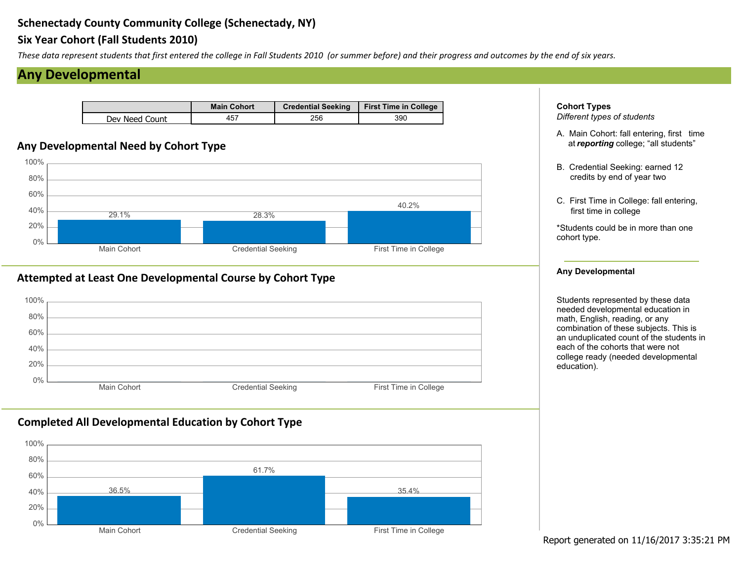## $+$ , &

 $\star$ 

| $+$ , &<br>$\overline{a}$ | $8'$ (<br>$\#$                             | $\%$<br>$\%$<br>3 <sup>1</sup><br>$\mathbf{L}_{\mathrm{max}}$<br>$\boldsymbol{\alpha}$ | $\%$           | $\%$<br>$\begin{array}{c} 5 \\ 1 \end{array}$<br>$\pm$<br>? G<br>$\bf8$<br>$\begin{array}{c} \begin{array}{c} \cdot \end{array} \\ \begin{array}{c} \bullet \end{array} \end{array}$<br>6)<br>$\#$<br>$5$<br>$F$ $($ $)$ $($ $)$ 6<br>$($ $)$ 2<br>$\frac{1}{2}$ 5 |
|---------------------------|--------------------------------------------|----------------------------------------------------------------------------------------|----------------|--------------------------------------------------------------------------------------------------------------------------------------------------------------------------------------------------------------------------------------------------------------------|
| $8\phantom{1}$            | $\overline{0}$<br>$\overline{\phantom{a}}$ | $+$ , &<br>$\#$                                                                        |                | $\overline{c}$                                                                                                                                                                                                                                                     |
| $\pmb{\&}$                | $($ + $,$ 8                                | $\mathcal{S}$<br>$\#$                                                                  | 8 <sup>8</sup> |                                                                                                                                                                                                                                                                    |

 $\, \, \raisebox{-1.5pt}{\text{\circle*{1.5}}}\,$ 

 $\frac{1}{2}$   $\frac{1}{2}$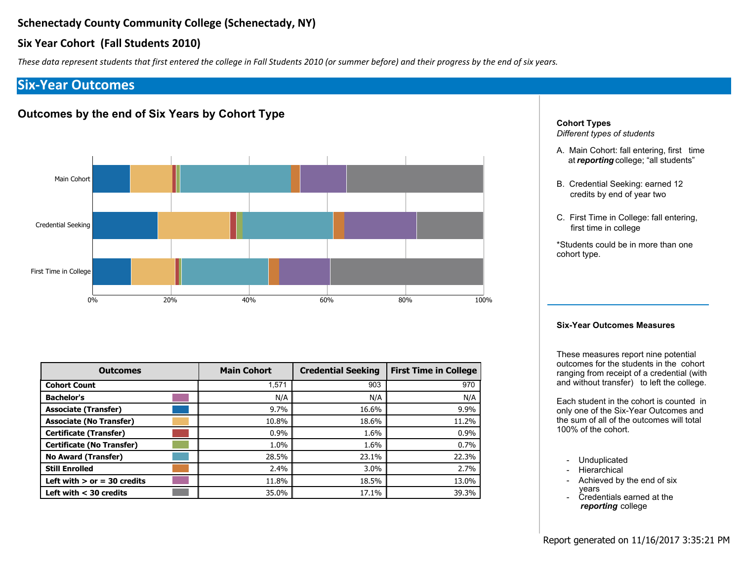$\%$ 

 $\sim 10^{-11}$ 

 $\, \, \raisebox{-1.5pt}{\text{\circle*{1.5}}}\,$ 

 $\star$ 

 $\#$ 

| $\%$ |    |    |  |                                                           |    |                 |
|------|----|----|--|-----------------------------------------------------------|----|-----------------|
|      |    |    |  | $\begin{array}{ccccc} & ; & 5 \\ ( & & ? & G \end{array}$ |    |                 |
| 8    |    | 6) |  | $5\overline{)}$                                           |    | $\frac{1}{2}$   |
|      | г, |    |  |                                                           | ÷. | $5\phantom{.0}$ |

|  | - 32                                                        |  |  |
|--|-------------------------------------------------------------|--|--|
|  | $\begin{array}{ccc} F & ' & ( & 6 \\ ( & ) 2 & \end{array}$ |  |  |



|         | ٠          |           |       |
|---------|------------|-----------|-------|
|         | $^*$ # $*$ | $($ # $*$ | $# *$ |
|         |            |           |       |
|         |            |           |       |
|         |            |           |       |
|         |            |           |       |
|         |            |           |       |
|         |            |           |       |
| #S      |            |           |       |
| $%$ #\$ |            |           |       |

 $\# \quad \#$ 

 $\pmb{+}$ 

 $\#$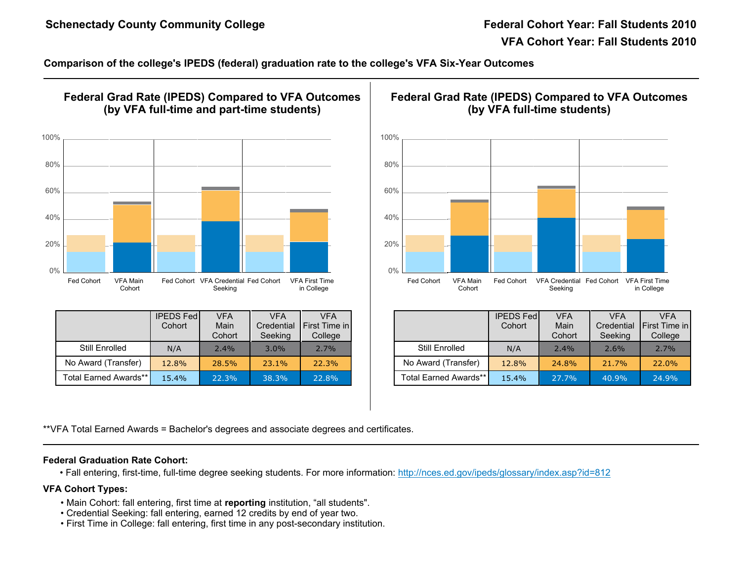| $\mathbf{H}$ | $\%$                                                                                      | $\%$                 | $\%$          |                        |                                     |                                                                                                                                                                                                                                                                                 | $\%$                   | $\%$<br>$\boldsymbol{\mathsf{\$}}$ | $\boldsymbol{\mathsf{S}}$<br>$\mathbf 1$<br>$\overline{1}$ | $\blacksquare$ |
|--------------|-------------------------------------------------------------------------------------------|----------------------|---------------|------------------------|-------------------------------------|---------------------------------------------------------------------------------------------------------------------------------------------------------------------------------------------------------------------------------------------------------------------------------|------------------------|------------------------------------|------------------------------------------------------------|----------------|
| $\%$         |                                                                                           |                      | 60.2' &       | $\mathbf{r}$           |                                     |                                                                                                                                                                                                                                                                                 | $\mathbf{U}$           | \$<br>$\#$                         |                                                            |                |
|              | $\, 8$<br>$\boldsymbol{\alpha}$                                                           | 7 <sup>7</sup>       | 860.2, %      |                        | $\#$<br>$\mathcal{R}^{\mathcal{A}}$ | $\bf{8}$<br>$\overline{7}$<br>$\boldsymbol{\alpha}$                                                                                                                                                                                                                             |                        | $860.2$ ', %                       | $\pmb{\cdot}$                                              | #              |
|              | $\therefore$ /<br>$\mathbf{I}$<br>, 7#<br>$\star$<br>$\sqrt{5}$<br>$\mathbf{I}$<br>/ $\#$ | $\cdot$ /<br>P & ! 0 | $\frac{1}{2}$ | $\cdot$ /<br>$\cdot$ / | $\cdot$ /                           | $\cdot$ /<br>$\mathbf{I}$<br>$\star$<br>, $/$ #<br>$/$ #<br>$\mathbf{I}$                                                                                                                                                                                                        | P & ! 0<br>$\,$ 5 $\,$ | $\cdot$ /<br>$\frac{1}{2}$         | $\therefore$ /<br>$\cdot$ /                                | $\frac{1}{2}$  |
| FF. /        | $/$ #<br>$\sim 1$                                                                         | $> 8$ (              | $\mathsf O$   |                        |                                     | 5(                                                                                                                                                                                                                                                                              |                        |                                    |                                                            |                |
|              |                                                                                           |                      |               |                        |                                     | 8 7 %<br>9 + 5 \$ + 5 \$<br>9 ; 5 + 5<br>9 ; 5 + 5<br>9 ; 5 + 5<br>9 ; 5 + 5<br>9 ; 5 + 5<br>9 ; 5 + 5<br>9 ; 5 + 5<br>9 ; 5 + 5<br>9 ; 5 + 5<br>9 ; 5 + 5<br>9 x 1<br>9 x 1<br>9 x 1<br>9 x 1<br>9 x 1<br>9 x 1<br>9 x 1<br>9 x 1<br>9 x 1<br>9 x 1<br>9 x 1<br>9 x 1<br>9 x 1 |                        |                                    |                                                            |                |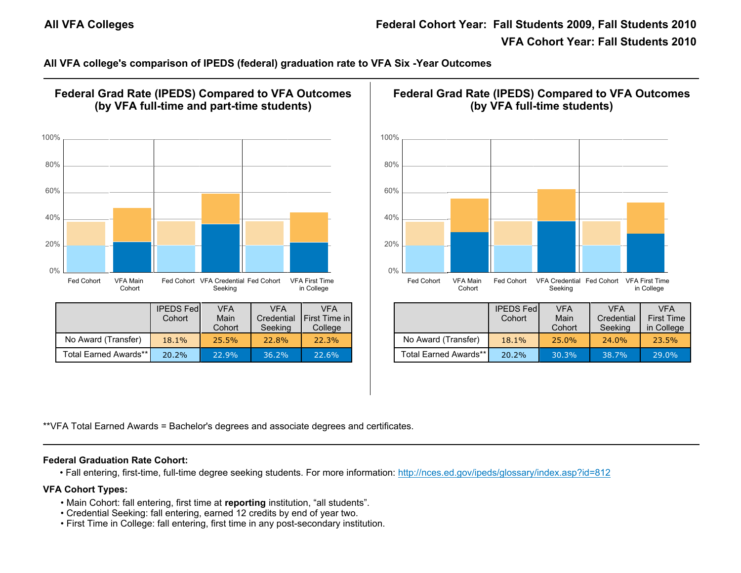| %                                                                                                                                                 | %<br>\$<br>$\mathbf 1$<br>$\mathbf{I}$<br>$()$ ) C F<br><b>Contract</b><br>$\boldsymbol{\mathsf{S}}$<br>$\mathbf 1$<br>$\%$                         |
|---------------------------------------------------------------------------------------------------------------------------------------------------|-----------------------------------------------------------------------------------------------------------------------------------------------------|
| 60.2 &<br>$\overline{\phantom{a}}$                                                                                                                | $\mathbf{L}_{\mathrm{c}}$<br>\$<br>#                                                                                                                |
| $7860.2$ ', %<br>8 <sup>8</sup><br>#<br>$\boldsymbol{\alpha}$<br>$\,$                                                                             | $860.2$ ', %<br>$8\phantom{1}$<br>#<br>$\overline{7}$<br>$\boldsymbol{\alpha}$<br>$\,$                                                              |
| $\cdot$ /<br>$\cdot$ /<br>$\cdot$ /<br>P & ! 0<br>$\cdot$ /<br>$\cdot$ /<br>$\cdot$ /<br>$\star$<br>, 7#<br>$\,$ 5 $\,$<br>$\mathbf{I}$<br>/ $\#$ | $\cdot$ /<br>$\cdot$ /<br>$\cdot$ /<br>P & ! 0<br>$\frac{1}{2}$<br>$\cdot$ /<br>$\cdot$ /<br>, $/$ #<br>$\star$<br>$\,$ 5 $\,$<br>$\pm 1$<br>/ $\#$ |
| FF. /<br>$\frac{1}{2}$ /#<br>$> 8$ (<br>$\overline{O}$                                                                                            | 5(<br>$\left($                                                                                                                                      |
| 8 7 %<br>9 + 5 \$ + 5' \$ ' <u>2;EE (1E 2 E )E</u> 3 2M ><br>$\begin{matrix} 6 & 6 \ 6 & 6 \ 6 & 6 \end{matrix}$                                  |                                                                                                                                                     |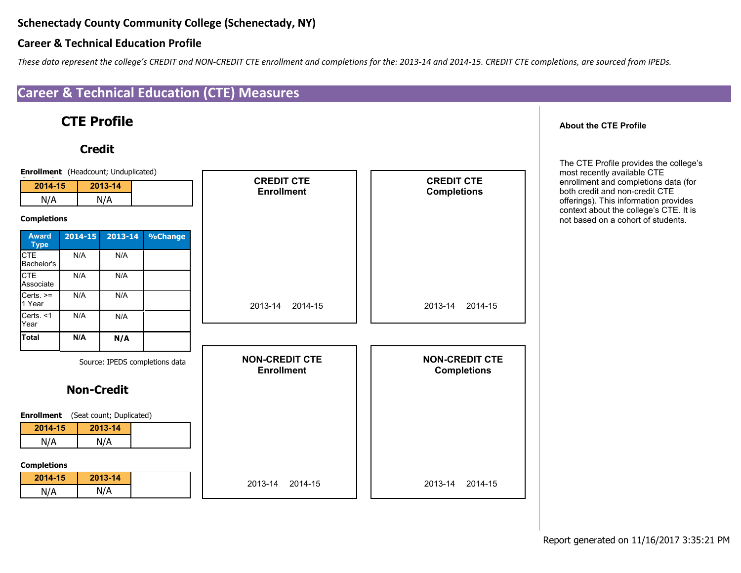

 $\frac{1}{2}$  "#\$%& '(')"#\$%& "\$

## 



 $\mathbf{I}^{\mathrm{u},\mathrm{u}}$ 

 $#$  #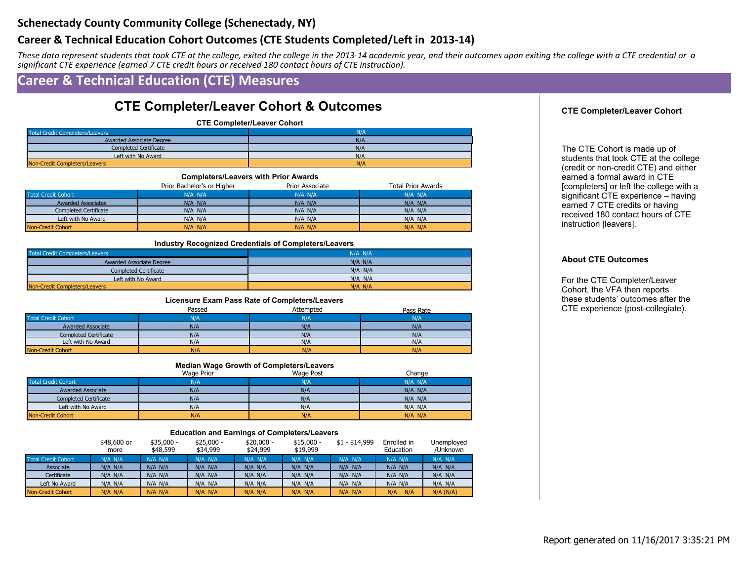| $\mathbf{1}$<br>$"$ \$                                                                     | $\mathfrak{S}$<br>$0 \begin{array}{ccc} & \circ & \circ \\ & \circ & \circ \end{array}$                                                          |                                                                                                                                            | 8 <sub>o</sub><br>\$<br>2<br>$1 \quad$                                                                                                                                                       | $'0\%$<br>$+$ $\binom{+}{1}$ | $\overline{2}$                                                                                                                                                                                                                                                                                                                                                                                                        |
|--------------------------------------------------------------------------------------------|--------------------------------------------------------------------------------------------------------------------------------------------------|--------------------------------------------------------------------------------------------------------------------------------------------|----------------------------------------------------------------------------------------------------------------------------------------------------------------------------------------------|------------------------------|-----------------------------------------------------------------------------------------------------------------------------------------------------------------------------------------------------------------------------------------------------------------------------------------------------------------------------------------------------------------------------------------------------------------------|
|                                                                                            | $\overline{\mathcal{S}}$                                                                                                                         | $\mathbf{H}_{\mathrm{c}}$<br>$\mathcal{S}$                                                                                                 |                                                                                                                                                                                              |                              |                                                                                                                                                                                                                                                                                                                                                                                                                       |
| #9 <sup><math>+</math></sup>                                                               | G''<br>$%$ . %<br>$%$ . %                                                                                                                        | $\frac{0}{0}$<br>G''<br>$\%$                                                                                                               | $-$ #<br>$(#^{\star})$                                                                                                                                                                       |                              | $G$ "<br>$\%$<br>$%$ . %                                                                                                                                                                                                                                                                                                                                                                                              |
| $\sim 0.1$<br>$\mathbf{u}$ .<br>#9 $^{\circ}$<br>$\mathbf{B}$                              | $*2$ $*$ $+$ 8<br>$8 +$<br>$982$ $*2$                                                                                                            |                                                                                                                                            | $(# * )$<br>$($ # $*$<br>$($ # $*$<br>$(#^*)$                                                                                                                                                |                              | $'2$ 5<br>$\mathbf{I}$<br>$\mathbf{H}^{\mathrm{max}}$<br><b>The Common</b><br>$\sqrt{2}$<br>$*$ (<br>$\frac{1}{2}$ (<br>$\sim$ 1 = $\sim$                                                                                                                                                                                                                                                                             |
| $*2$ $*$ +<br>$\sim 0.00$<br>$8 +$<br>982(12)                                              | $\mathsf{G}$ "<br>%<br>$5 +$<br>$6$ 7<br>%<br>$( # ( # * )$<br>$($ # $($ # $*$<br>$( #^{\cdot} ( #^{\star})$<br>$( #^+ ( #^+)$<br>$($ # $($ #*   | $\overline{0}$<br>$\%$ * +<br>$( # ( # * )$<br>$( # ( # * )$<br>$( # ( # * )$<br>$($ # $($ # $*$<br>$( # ( # * )$                          | $*2$<br>%<br>$( # ( # * )$<br>$( # (# * )$<br>$( # ( # * )$<br>$($ # $($ # $*$<br>$( # ( # * )$                                                                                              |                              | #<br>5 <sup>5</sup><br>$\mathbf{I}$<br>$Q($ $\frac{2}{5}$ (<br>$R \sim$<br>$5^{\circ}$<br>$\begin{array}{cc} 1 & 32 \end{array}$<br>( K<br>$\frac{1}{2}$ (<br>$\overline{1}$<br>$\sim 10^{-11}$<br>$\overline{(\ }$<br>$\,$ 5 $\,$<br>(1)<br>$\left($<br>$\mathcal{L}$<br>$Q^{\dagger}$<br>1 R                                                                                                                        |
| #9<br>$*2$<br>$\langle 0 \rangle$ .<br>$982$<br>$\mathbf{u}_{\mathrm{max}}$                | $7\overline{}$<br>6<br>H<br>$* + 8$<br>$8 +$<br>$($ $*2$                                                                                         | $\%$<br>%                                                                                                                                  | $\mathsf{G}$ "<br>$( # ( # * )$<br>$( # ( # * )$<br>$( # \cdot  ( # \cdot )$                                                                                                                 |                              | $% + \#$<br>$\frac{1}{2}$<br>E < 1                                                                                                                                                                                                                                                                                                                                                                                    |
| $\#9$<br>$*2$ $*$ +<br>$\overline{\phantom{a}8}$ +                                         | $\mathbf{u}$<br>$\mathsf 0$<br>$\mathcal{L}_{\mathrm{eff}}$<br>%<br>$($ # $*$<br>$($ # $*$<br>$($ # $*$                                          | $G$ "<br>$\overline{7}$<br>$\frac{\%}{\mathrm{10}}$<br>$($ # $*$<br>$($ # $*$<br>$($ # $*$                                                 | $( # ( # * )$<br>$($ # $*$<br>$($ # $*$<br>$($ # $*$                                                                                                                                         |                              | $2^{\circ}$<br>$\frac{1}{2}$<br>$\pm$ .<br>$\frac{1}{2}$ $\frac{1}{2}$ $\frac{1}{2}$ $\frac{1}{2}$ $\frac{1}{2}$ $\frac{1}{2}$ $\frac{1}{2}$ $\frac{1}{2}$ $\frac{1}{2}$ $\frac{1}{2}$ $\frac{1}{2}$ $\frac{1}{2}$ $\frac{1}{2}$ $\frac{1}{2}$ $\frac{1}{2}$ $\frac{1}{2}$ $\frac{1}{2}$ $\frac{1}{2}$ $\frac{1}{2}$ $\frac{1}{2}$ $\frac{1}{2}$ $\frac{1}{2}$<br>$\overline{5}$<br>$(*2 \times 3)$<br>$\frac{1}{32}$ |
| $982$ $(*2)$<br>$\overline{\mathbf{3}}$                                                    | $($ # $*$<br>$($ #*<br>9<br>8<br>3<br>4<br>%<br>$($ # $*$                                                                                        | $($ # $*$<br>$($ #*<br>$\frac{4 \frac{6}{10}}{4 \frac{6}{10}}$<br>%<br>$($ # $*$                                                           | $($ # $*$<br>$($ # $*$<br>$( # ( # * )$                                                                                                                                                      |                              |                                                                                                                                                                                                                                                                                                                                                                                                                       |
| $*2$<br>$\rightarrow$ $+$<br>$\sim 0.5$<br>$8 +$<br>$982 \t \frac{1}{2}$<br>3 <sup>2</sup> | $($ # $*$<br>$($ # $*$<br>$($ # $*$<br>$(# * )$                                                                                                  | $($ # $*$<br>$($ # $*$<br>$($ # $*$<br>$(*^*$                                                                                              | $( #^+ ( #^*)$<br>$( #^+ ( #^+)$<br>$( #^{\cdot} ( #^{\star})$<br>$( # ( # * )$                                                                                                              |                              |                                                                                                                                                                                                                                                                                                                                                                                                                       |
| $\cdot$ $\cdot$<br>$( # ( # * )$<br>$( # ( # * )$<br>$\star$ +<br>$8 +$<br>$( # ( # * )$   | $\cdot$ /<br>$3 \cdot 7$<br>$\mathbf{3}$<br>$\prime$<br>$( # ( # *$<br>$( # ( # * )$<br>$( # ( # * )$<br>$( # ( # * )$<br>$( # \cdot  # \cdot )$ | $\mathsf{G}$ "<br>$\%$<br>$3 \cdot 7$<br>$\frac{1}{2}$<br>$( # ( # * )$<br>$( # ( # *$<br>$( #^+ ( #^+)$<br>$( #^{\cdot} \ \ ( #^{\cdot})$ | $3 \cdot 3 \cdot 7$<br>$0$ " $1$<br>$- ) +$<br>$#0$ 2<br>$( # ( # * )$<br>$( # ( # * )$<br>$( # ( # * )$<br>$( # ( # * )$<br>$( #^{\cdot} ( #^{\star})$<br>$( # ( # * )$<br>$( #^+$ $( #^+)$ |                              |                                                                                                                                                                                                                                                                                                                                                                                                                       |
| $( # ( # * )$<br>$98 (+ * 2)$<br>3 <sup>°</sup><br>$( # ( # * )$                           | $( # ( # * )$<br>$( # ( # * )$<br>$( # ( # * )$<br>$( # ( # * )$                                                                                 | $($ # $($ # $*$<br>$( # ( # * )$<br>$(* (# * )$<br>$( # ( # * )$                                                                           | $( #^{\cdot} \ ( #^{\star})$<br>$( # ( # * )$<br>$( # ( # * )$<br>$( # ( # * )$<br>$(* : (*^*)$<br>$( # ( # *$                                                                               |                              |                                                                                                                                                                                                                                                                                                                                                                                                                       |

 $\Gamma_{\rm eff}$ 

 $\, \, \raisebox{-1.5pt}{\text{\circle*{1.5}}}\,$ 

#  $#$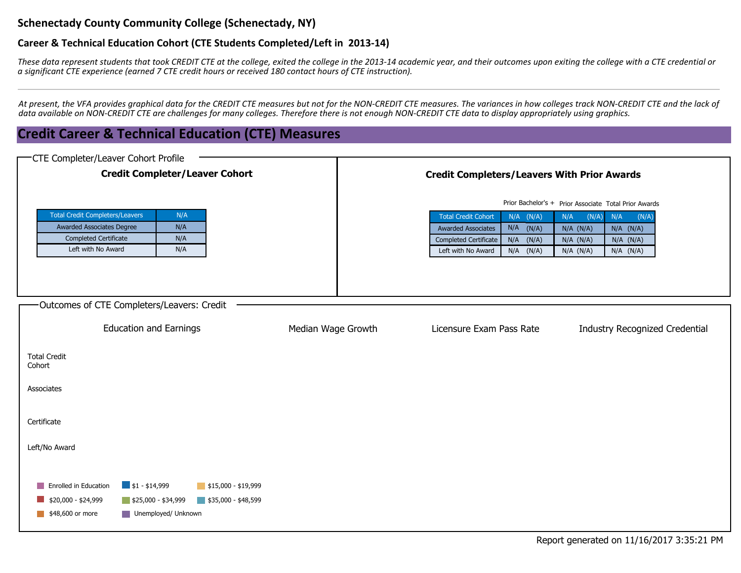| $\mathbf 1$                                              | \$<br>$"$ \$                                                                                         | \$<br>$7$ "#\$%& "\$<br>0 "\$ | $\boldsymbol{\alpha}$<br>$'0\%$<br>$\mathbf{2}$<br>$\mathbf{1}$ | 2<br>$+$ )<br>$\sim$<br>$"$ \$                                                                                                                                                                                                                                                                                                                                                                                            |
|----------------------------------------------------------|------------------------------------------------------------------------------------------------------|-------------------------------|-----------------------------------------------------------------|---------------------------------------------------------------------------------------------------------------------------------------------------------------------------------------------------------------------------------------------------------------------------------------------------------------------------------------------------------------------------------------------------------------------------|
| $\mathbf{3}$<br>$\overline{\phantom{a}}$<br>$\mathbf{1}$ | $4$ 3 1<br>'(') " # \$ % &<br>$"$ \$                                                                 | " # \$% & " \$                |                                                                 | $\mathbf{1}$<br>'(')"#\$%&"\$<br>'(')"#\$%&"\$                                                                                                                                                                                                                                                                                                                                                                            |
|                                                          |                                                                                                      | \$                            | \$<br>ш                                                         |                                                                                                                                                                                                                                                                                                                                                                                                                           |
| $\pmb{\mathrm{H}}$                                       | #9<br>$\mathcal{A}$<br>%<br>$\mathbf 0$<br>1                                                         | $\sqrt{2}$                    |                                                                 | $\sim 10$<br>$\mathbf{3}$<br>$\overline{0}$<br>$\mathbf{1}$<br>2                                                                                                                                                                                                                                                                                                                                                          |
| $*2$<br>982                                              | $\sim 0.1$<br>#9<br>$($ # $*$<br>$(* *$<br>$\pmb{8}$<br>$+$<br>$(* *$<br>$8 +$<br>(# $*$<br>$(*^*2)$ |                               |                                                                 | %<br>$5 +$<br>%<br>$\rightarrow$ $\rightarrow$<br>$\%$<br>$^\star$ 2<br>$( # * ) : ( # * )$<br>$($ # $*$ : ( # $*$ ;<br>$($ #<br>$\rightarrow$ (#*<br>$( # * \t\t (# * ;$<br>(# $\hspace{0.1cm}$ : (# $^{\star}$ ;<br>$*2$<br>$(*^*:(*^*;$<br>$* +$<br>$(* * ' (* * ;$<br>$( # : : (* * ;$<br>$\mathbf{u}$<br>$8\phantom{1}$<br>$(*$ : (# *;<br>$( # * : ("# *")$<br>$( #^{\cdot} : (*^{\star};$<br>$(*^*: (*^*$<br>9 8 2 |
| - @ ) +                                                  | $\blacksquare$<br>#9<br>$8\phantom{1}$<br>$\sim$                                                     | $\mathcal{A}$ .               |                                                                 |                                                                                                                                                                                                                                                                                                                                                                                                                           |
|                                                          | $ )+$<br>$\sim$                                                                                      | $\overline{4}$                | $= 2$                                                           | $9 + )$ -> %<br>$, )$ 1 ! + ?                                                                                                                                                                                                                                                                                                                                                                                             |
| $\star$<br>$\ddot{\phantom{1}}$                          |                                                                                                      |                               |                                                                 |                                                                                                                                                                                                                                                                                                                                                                                                                           |
| $8 +$                                                    |                                                                                                      |                               |                                                                 |                                                                                                                                                                                                                                                                                                                                                                                                                           |
| 9 8 # ( $*2$                                             |                                                                                                      |                               |                                                                 |                                                                                                                                                                                                                                                                                                                                                                                                                           |
|                                                          | $\blacksquare$ . / 3 . / $\blacksquare$ . / 3 . / $\blacksquare$ . / 3 . /                           |                               |                                                                 |                                                                                                                                                                                                                                                                                                                                                                                                                           |

 $\Gamma_{\rm eff}$